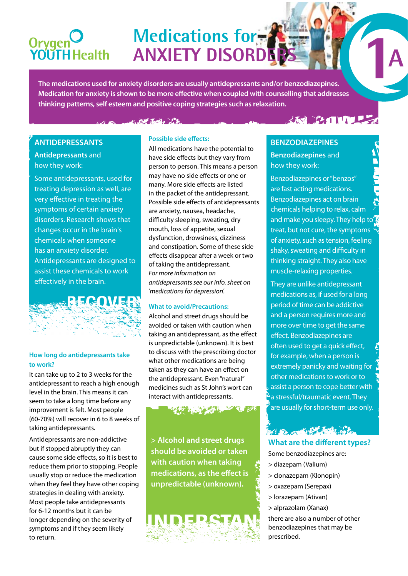# Orygen<br>YOUTH Health

# **Medications for ANXIETY DISORDI**

**The medications used for anxiety disorders are usually antidepressants and/or benzodiazepines. Medication for anxiety is shown to be more effective when coupled with counselling that addresses thinking patterns, self esteem and positive coping strategies such as relaxation.**

#### **ANTIDEPRESSANTS**

#### **Antidepressants** and how they work:

Some antidepressants, used for treating depression as well, are very effective in treating the symptoms of certain anxiety disorders. Research shows that changes occur in the brain's chemicals when someone has an anxiety disorder. Antidepressants are designed to assist these chemicals to work effectively in the brain.



#### **How long do antidepressants take to work?**

It can take up to 2 to 3 weeks for the antidepressant to reach a high enough level in the brain. This means it can seem to take a long time before any improvement is felt. Most people (60-70%) will recover in 6 to 8 weeks of taking antidepressants.

Antidepressants are non-addictive but if stopped abruptly they can cause some side effects, so it is best to reduce them prior to stopping. People usually stop or reduce the medication when they feel they have other coping strategies in dealing with anxiety. Most people take antidepressants for 6-12 months but it can be longer depending on the severity of symptoms and if they seem likely to return.

#### **Possible side effects:**

and the same of the same

All medications have the potential to have side effects but they vary from person to person. This means a person may have no side effects or one or many. More side effects are listed in the packet of the antidepressant. Possible side effects of antidepressants are anxiety, nausea, headache, difficulty sleeping, sweating, dry mouth, loss of appetite, sexual dysfunction, drowsiness, dizziness and constipation. Some of these side effects disappear after a week or two of taking the antidepressant. *For more information on antidepressants see our info. sheet on 'medications for depression'.*

#### **What to avoid/Precautions:**

Alcohol and street drugs should be avoided or taken with caution when taking an antidepressant, as the effect is unpredictable (unknown). It is best to discuss with the prescribing doctor what other medications are being taken as they can have an effect on the antidepressant. Even "natural" medicines such as St John's wort can interact with antidepressants.

**All the Seat Fully.** 

**> Alcohol and street drugs should be avoided or taken with caution when taking medications, as the effect is unpredictable (unknown).**



## **AREA DAM THE STATE OF STATE**

**A**

#### **BENZODIAZEPINES**

#### **Benzodiazepines** and how they work:

Benzodiazepines or "benzos" are fast acting medications. Benzodiazepines act on brain chemicals helping to relax, calm and make you sleepy. They help to treat, but not cure, the symptoms of anxiety, such as tension, feeling shaky, sweating and difficulty in thinking straight. They also have muscle-relaxing properties.

They are unlike antidepressant medications as, if used for a long period of time can be addictive and a person requires more and more over time to get the same effect. Benzodiazepines are often used to get a quick effect, for example, when a person is extremely panicky and waiting for other medications to work or to assist a person to cope better with  $a$  stressful/traumatic event. They are usually for short-term use only.

### Marie Hellien **What are the different types?**

Some benzodiazepines are: > diazepam (Valium) > clonazepam (Klonopin) > oxazepam (Serepax) > lorazepam (Ativan) > alprazolam (Xanax) there are also a number of other benzodiazepines that may be prescribed.